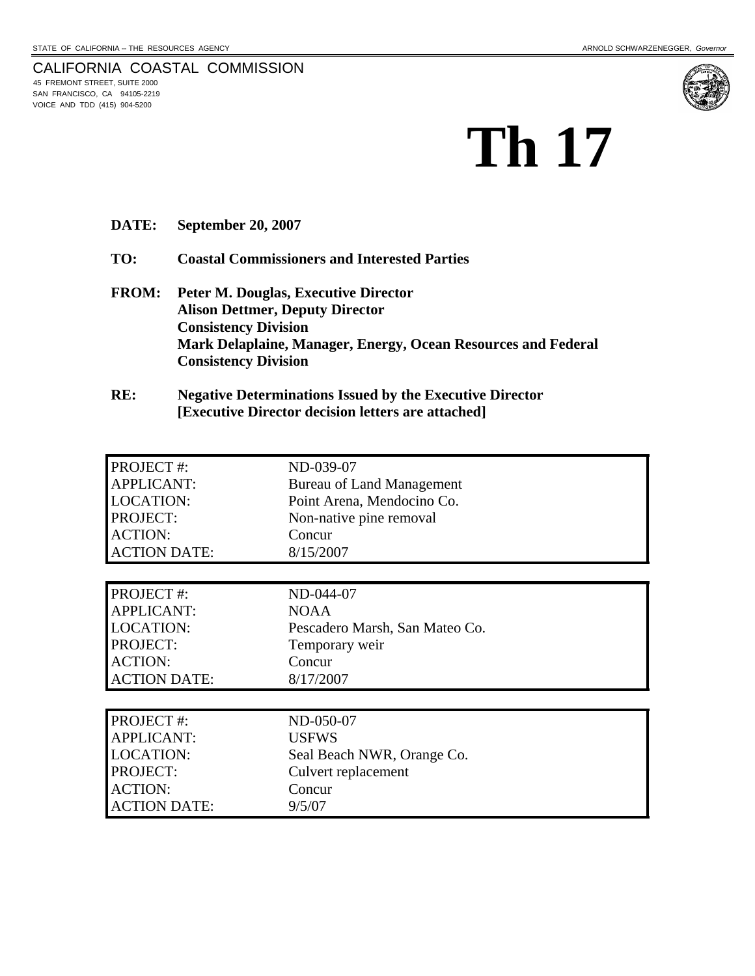# CALIFORNIA COASTAL COMMISSION<br>45 FREMONT STREET, SUITE 2000 SAN FRANCISCO, CA 94105-2219 VOICE AND TDD (415) 904-5200



**DATE: September 20, 2007** 

**TO: Coastal Commissioners and Interested Parties** 

- **FROM: Peter M. Douglas, Executive Director Alison Dettmer, Deputy Director Consistency Division Mark Delaplaine, Manager, Energy, Ocean Resources and Federal Consistency Division**
- **RE: Negative Determinations Issued by the Executive Director [Executive Director decision letters are attached]**

| <b>PROJECT#:</b>    | ND-039-07                        |
|---------------------|----------------------------------|
| <b>APPLICANT:</b>   | <b>Bureau of Land Management</b> |
| <b>LOCATION:</b>    | Point Arena, Mendocino Co.       |
| PROJECT:            | Non-native pine removal          |
| <b>ACTION:</b>      | Concur                           |
| <b>ACTION DATE:</b> | 8/15/2007                        |
|                     |                                  |
| <b>PROJECT#:</b>    | ND-044-07                        |
| <b>APPLICANT:</b>   | <b>NOAA</b>                      |
| <b>LOCATION:</b>    | Pescadero Marsh, San Mateo Co.   |
| PROJECT:            | Temporary weir                   |
| <b>ACTION:</b>      | Concur                           |
| <b>ACTION DATE:</b> | 8/17/2007                        |
|                     |                                  |
| <b>PROJECT#:</b>    | ND-050-07                        |
| <b>APPLICANT:</b>   | <b>USFWS</b>                     |
| <b>LOCATION:</b>    | Seal Beach NWR, Orange Co.       |
| PROJECT:            | Culvert replacement              |
| <b>ACTION:</b>      | Concur                           |
| <b>ACTION DATE:</b> | 9/5/07                           |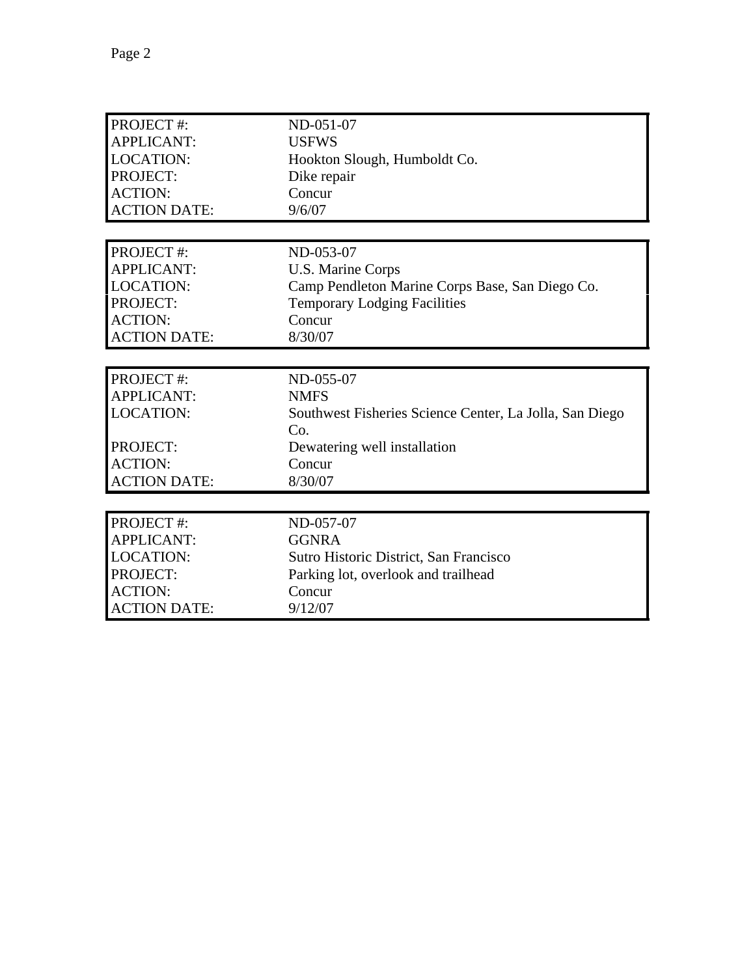| PROJECT #:          | ND-051-07                                               |
|---------------------|---------------------------------------------------------|
| <b>APPLICANT:</b>   | <b>USFWS</b>                                            |
| <b>LOCATION:</b>    | Hookton Slough, Humboldt Co.                            |
| PROJECT:            | Dike repair                                             |
| <b>ACTION:</b>      | Concur                                                  |
| <b>ACTION DATE:</b> | 9/6/07                                                  |
|                     |                                                         |
| PROJECT #:          | ND-053-07                                               |
| <b>APPLICANT:</b>   | U.S. Marine Corps                                       |
| <b>LOCATION:</b>    | Camp Pendleton Marine Corps Base, San Diego Co.         |
| <b>PROJECT:</b>     | <b>Temporary Lodging Facilities</b>                     |
| <b>ACTION:</b>      | Concur                                                  |
| <b>ACTION DATE:</b> | 8/30/07                                                 |
|                     |                                                         |
| PROJECT#:           | ND-055-07                                               |
|                     |                                                         |
| <b>APPLICANT:</b>   | <b>NMFS</b>                                             |
| <b>LOCATION:</b>    | Southwest Fisheries Science Center, La Jolla, San Diego |
|                     | Co.                                                     |
| PROJECT:            | Dewatering well installation                            |
| <b>ACTION:</b>      | Concur                                                  |
| <b>ACTION DATE:</b> | 8/30/07                                                 |
|                     |                                                         |
| PROJECT#:           | ND-057-07                                               |
| <b>APPLICANT:</b>   | <b>GGNRA</b>                                            |
| <b>LOCATION:</b>    | Sutro Historic District, San Francisco                  |
| PROJECT:            | Parking lot, overlook and trailhead                     |
| <b>ACTION:</b>      | Concur                                                  |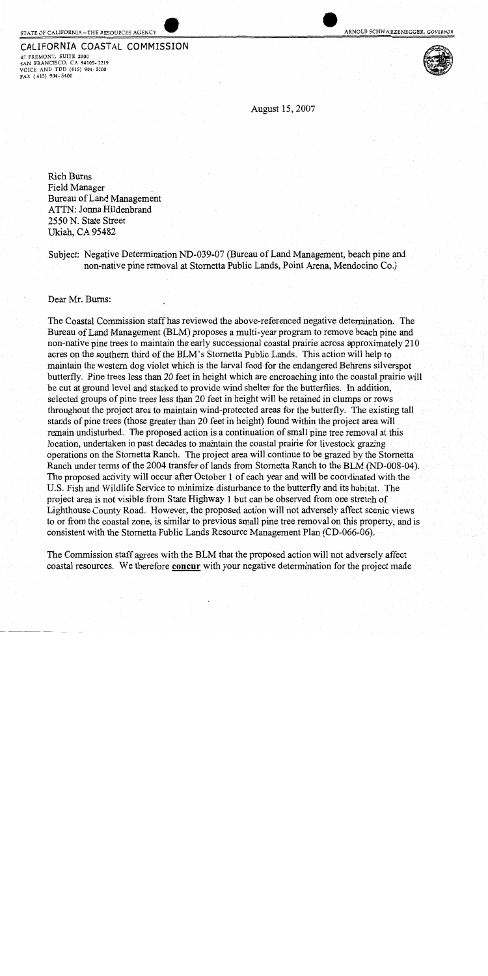## STATE OF CALIFORNIA-THE RESOURCES AGENCY

#### CALIFORNIA COASTAL COMMISSION

45 FREMONT, SUITE 2000 SAN FRANCISCO, CA 94105-2219 VOICE AND TDD (415) 904-5200 FAX (415) 904-5400





August 15, 2007

**Rich Burns** Field Manager Bureau of Land Management ATTN: Jonna Hildenbrand 2550 N. State Street Ukiah, CA 95482

Subject: Negative Determination ND-039-07 (Bureau of Land Management, beach pine and non-native pine removal at Stornetta Public Lands, Point Arena, Mendocino Co.)

Dear Mr. Burns:

The Coastal Commission staff has reviewed the above-referenced negative determination. The Bureau of Land Management (BLM) proposes a multi-year program to remove beach pine and non-native pine trees to maintain the early successional coastal prairie across approximately 210 acres on the southern third of the BLM's Stornetta Public Lands. This action will help to maintain the western dog violet which is the larval food for the endangered Behrens silverspot butterfly. Pine trees less than 20 feet in height which are encroaching into the coastal prairie will be cut at ground level and stacked to provide wind shelter for the butterflies. In addition, selected groups of pine trees less than 20 feet in height will be retained in clumps or rows throughout the project area to maintain wind-protected areas for the butterfly. The existing tall stands of pine trees (those greater than 20 feet in height) found within the project area will remain undisturbed. The proposed action is a continuation of small pine tree removal at this location, undertaken in past decades to maintain the coastal prairie for livestock grazing operations on the Stornetta Ranch. The project area will continue to be grazed by the Stornetta Ranch under terms of the 2004 transfer of lands from Stornetta Ranch to the BLM (ND-008-04). The proposed activity will occur after October 1 of each year and will be coordinated with the U.S. Fish and Wildlife Service to minimize disturbance to the butterfly and its habitat. The project area is not visible from State Highway 1 but can be observed from one stretch of Lighthouse County Road. However, the proposed action will not adversely affect scenic views to or from the coastal zone, is similar to previous small pine tree removal on this property, and is consistent with the Stornetta Public Lands Resource Management Plan (CD-066-06).

The Commission staff agrees with the BLM that the proposed action will not adversely affect coastal resources. We therefore concur with your negative determination for the project made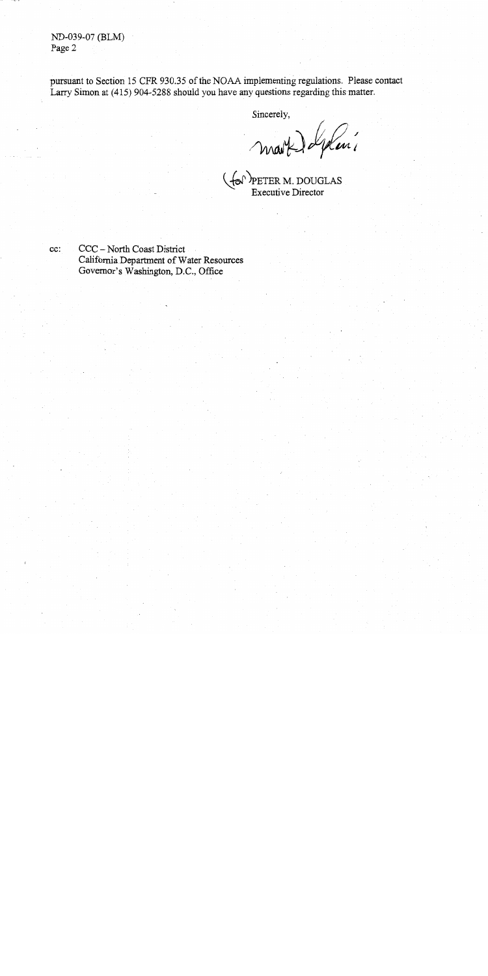ND-039-07 (BLM) Page 2

pursuant to Section 15 CFR 930.35 of the NOAA implementing regulations. Please contact Larry Simon at (415) 904-5288 should you have any questions regarding this matter.

Sincerely,

mart deplais

cc:

CCC - North Coast District California Department of Water Resources Governor's Washington, D.C., Office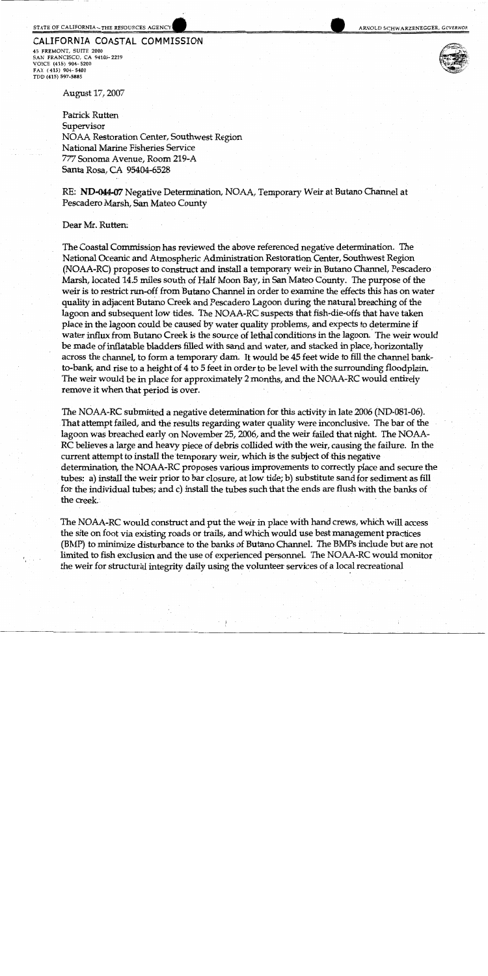# CALIFORNIA COASTAL COMMISSION

45 FREMONT, SUITE 2000 SAN FRANCISCO, CA 94105-2219 VOICE (415) 904-5200 FAX (415) 904-5400 TDD (415) 597-5885

August 17, 2007

Patrick Rutten Supervisor NOAA Restoration Center, Southwest Region National Marine Fisheries Service 777 Sonoma Avenue, Room 219-A Santa Rosa, CA 95404-6528

RE: ND-044-07 Negative Determination, NOAA, Temporary Weir at Butano Channel at Pescadero Marsh, San Mateo County

#### Dear Mr. Rutten:

The Coastal Commission has reviewed the above referenced negative determination. The National Oceanic and Atmospheric Administration Restoration Center, Southwest Region (NOAA-RC) proposes to construct and install a temporary weir in Butano Channel, Pescadero Marsh, located 14.5 miles south of Half Moon Bay, in San Mateo County. The purpose of the weir is to restrict run-off from Butano Channel in order to examine the effects this has on water quality in adjacent Butano Creek and Pescadero Lagoon during the natural breaching of the lagoon and subsequent low tides. The NOAA-RC suspects that fish-die-offs that have taken place in the lagoon could be caused by water quality problems, and expects to determine if water influx from Butano Creek is the source of lethal conditions in the lagoon. The weir would be made of inflatable bladders filled with sand and water, and stacked in place, horizontally across the channel, to form a temporary dam. It would be 45 feet wide to fill the channel bankto-bank, and rise to a height of 4 to 5 feet in order to be level with the surrounding floodplain. The weir would be in place for approximately 2 months, and the NOAA-RC would entirely remove it when that period is over.

The NOAA-RC submitted a negative determination for this activity in late 2006 (ND-081-06). That attempt failed, and the results regarding water quality were inconclusive. The bar of the lagoon was breached early on November 25, 2006, and the weir failed that night. The NOAA-RC believes a large and heavy piece of debris collided with the weir, causing the failure. In the current attempt to install the temporary weir, which is the subject of this negative determination, the NOAA-RC proposes various improvements to correctly place and secure the tubes: a) install the weir prior to bar closure, at low tide; b) substitute sand for sediment as fill for the individual tubes; and c) install the tubes such that the ends are flush with the banks of the creek.

The NOAA-RC would construct and put the weir in place with hand crews, which will access the site on foot via existing roads or trails, and which would use best management practices (BMP) to minimize disturbance to the banks of Butano Channel. The BMPs include but are not limited to fish exclusion and the use of experienced personnel. The NOAA-RC would monitor the weir for structural integrity daily using the volunteer services of a local recreational

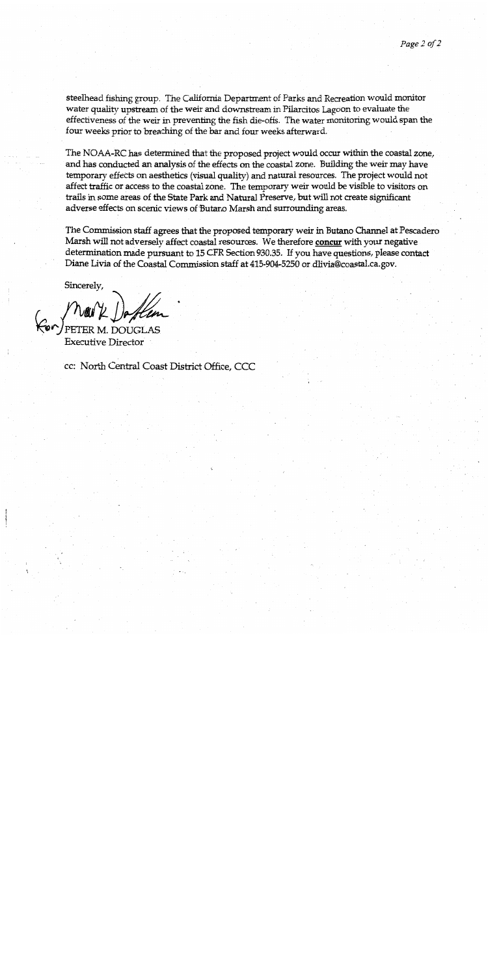steelhead fishing group. The California Department of Parks and Recreation would monitor water quality upstream of the weir and downstream in Pilarcitos Lagoon to evaluate the effectiveness of the weir in preventing the fish die-offs. The water monitoring would span the four weeks prior to breaching of the bar and four weeks afterward.

The NOAA-RC has determined that the proposed project would occur within the coastal zone, and has conducted an analysis of the effects on the coastal zone. Building the weir may have temporary effects on aesthetics (visual quality) and natural resources. The project would not affect traffic or access to the coastal zone. The temporary weir would be visible to visitors on trails in some areas of the State Park and Natural Preserve, but will not create significant adverse effects on scenic views of Butano Marsh and surrounding areas.

The Commission staff agrees that the proposed temporary weir in Butano Channel at Pescadero Marsh will not adversely affect coastal resources. We therefore concur with your negative determination made pursuant to 15 CFR Section 930.35. If you have questions, please contact Diane Livia of the Coastal Commission staff at 415-904-5250 or dlivia@coastal.ca.gov.

Sincerely,

PETER M. DOUGL **Executive Director** 

cc: North Central Coast District Office, CCC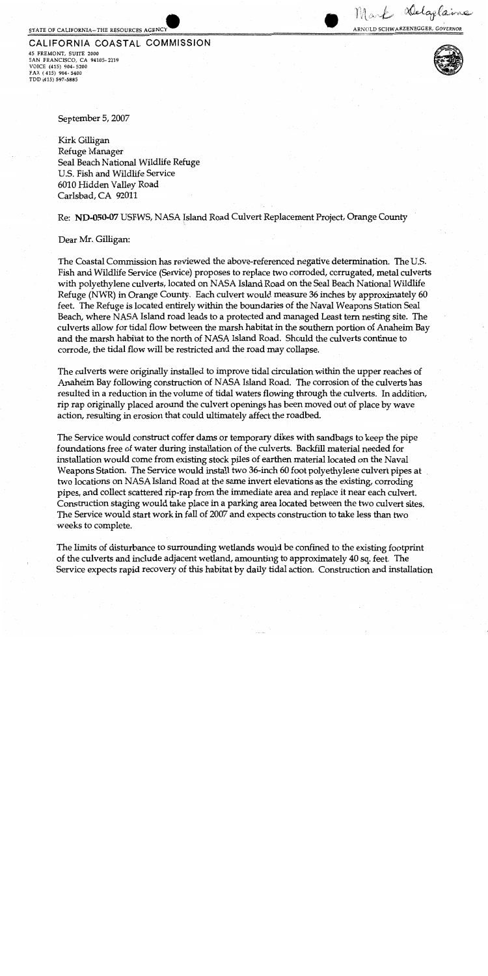#### STATE OF CALIFORNIA-THE RESOURCES AGENCY

# CALIFORNIA COASTAL COMMISSION 45 FREMONT, SUITE 2000

SAN FRANCISCO, CA 94105-2219 VOICE (415) 904-5200 FAX (415) 904-5400 TDD (415) 597-5885

Delaplaine

ARNOLD SCHWARZENEGGER, GOVERNOR

 $\mathcal{W}$  and

September 5, 2007

Kirk Gilligan Refuge Manager Seal Beach National Wildlife Refuge U.S. Fish and Wildlife Service 6010 Hidden Valley Road Carlsbad, CA 92011

Re: ND-050-07 USFWS, NASA Island Road Culvert Replacement Project, Orange County

Dear Mr. Gilligan:

The Coastal Commission has reviewed the above-referenced negative determination. The U.S. Fish and Wildlife Service (Service) proposes to replace two corroded, corrugated, metal culverts with polyethylene culverts, located on NASA Island Road on the Seal Beach National Wildlife Refuge (NWR) in Orange County. Each culvert would measure 36 inches by approximately 60 feet. The Refuge is located entirely within the boundaries of the Naval Weapons Station Seal Beach, where NASA Island road leads to a protected and managed Least tern nesting site. The culverts allow for tidal flow between the marsh habitat in the southern portion of Anaheim Bay and the marsh habitat to the north of NASA Island Road. Should the culverts continue to corrode, the tidal flow will be restricted and the road may collapse.

The culverts were originally installed to improve tidal circulation within the upper reaches of Anaheim Bay following construction of NASA Island Road. The corrosion of the culverts has resulted in a reduction in the volume of tidal waters flowing through the culverts. In addition, rip rap originally placed around the culvert openings has been moved out of place by wave action, resulting in erosion that could ultimately affect the roadbed.

The Service would construct coffer dams or temporary dikes with sandbags to keep the pipe foundations free of water during installation of the culverts. Backfill material needed for installation would come from existing stock piles of earthen material located on the Naval Weapons Station. The Service would install two 36-inch 60 foot polyethylene culvert pipes at two locations on NASA Island Road at the same invert elevations as the existing, corroding pipes, and collect scattered rip-rap from the immediate area and replace it near each culvert. Construction staging would take place in a parking area located between the two culvert sites. The Service would start work in fall of 2007 and expects construction to take less than two weeks to complete.

The limits of disturbance to surrounding wetlands would be confined to the existing footprint of the culverts and include adjacent wetland, amounting to approximately 40 sq. feet. The Service expects rapid recovery of this habitat by daily tidal action. Construction and installation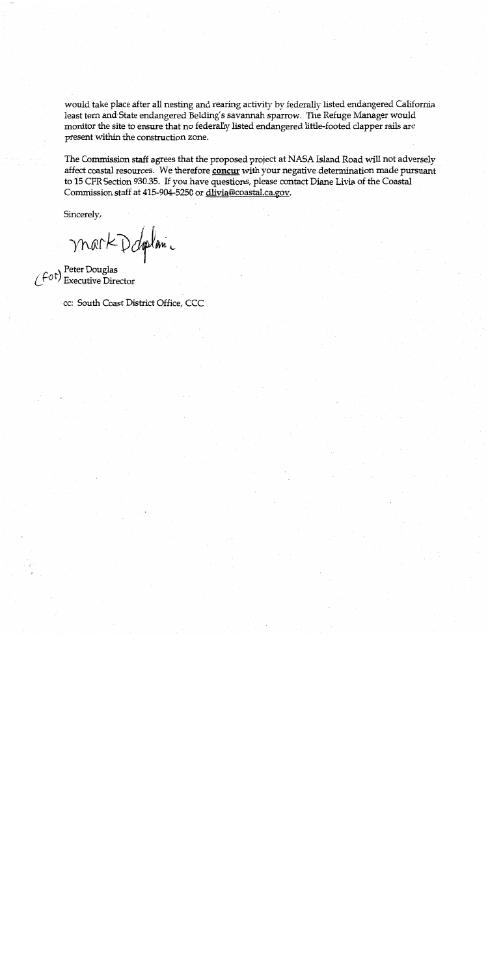would take place after all nesting and rearing activity by federally listed endangered California least tern and State endangered Belding's savannah sparrow. The Refuge Manager would monitor the site to ensure that no federally listed endangered little-footed clapper rails are present within the construction zone.

The Commission staff agrees that the proposed project at NASA Island Road will not adversely affect coastal resources. We therefore concur with your negative determination made pursuant to 15 CFR Section 930.35. If you have questions, please contact Diane Livia of the Coastal Commission staff at 415-904-5250 or dlivia@coastal.ca.gov.

Sincerely,

mark D doplanic

 $(f \circ f)$  Peter Douglas<br>  $(f \circ f)$  Executive Director

cc: South Coast District Office, CCC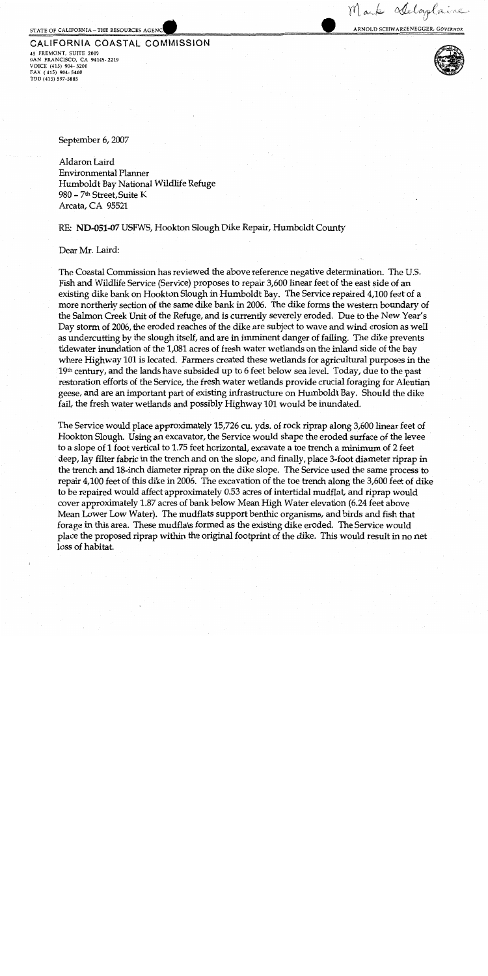#### STATE OF CALIFORNIA-THE RESOURCES AGENC

#### CALIFORNIA COASTAL COMMISSION 45 FREMONT, SUITE 2000 SAN FRANCISCO, CA 94105-2219

VOICE (415) 904-5200 FAX (415) 904-5400 TDD (415) 597-5885



Mark Adaplaine

ARNOLD SCHWARZENEGGER, GOVERNOR

September 6, 2007

Aldaron Laird Environmental Planner Humboldt Bay National Wildlife Refuge 980 - 7<sup>th</sup> Street, Suite K Arcata, CA 95521

## RE: ND-051-07 USFWS, Hookton Slough Dike Repair, Humboldt County

### Dear Mr. Laird:

The Coastal Commission has reviewed the above reference negative determination. The U.S. Fish and Wildlife Service (Service) proposes to repair 3,600 linear feet of the east side of an existing dike bank on Hookton Slough in Humboldt Bay. The Service repaired 4,100 feet of a more northerly section of the same dike bank in 2006. The dike forms the western boundary of the Salmon Creek Unit of the Refuge, and is currently severely eroded. Due to the New Year's Day storm of 2006, the eroded reaches of the dike are subject to wave and wind erosion as well as undercutting by the slough itself, and are in imminent danger of failing. The dike prevents tidewater inundation of the 1,081 acres of fresh water wetlands on the inland side of the bay where Highway 101 is located. Farmers created these wetlands for agricultural purposes in the 19th century, and the lands have subsided up to 6 feet below sea level. Today, due to the past restoration efforts of the Service, the fresh water wetlands provide crucial foraging for Aleutian geese, and are an important part of existing infrastructure on Humboldt Bay. Should the dike fail, the fresh water wetlands and possibly Highway 101 would be inundated.

The Service would place approximately 15,726 cu. yds. of rock riprap along 3,600 linear feet of Hookton Slough. Using an excavator, the Service would shape the eroded surface of the levee to a slope of 1 foot vertical to 1.75 feet horizontal, excavate a toe trench a minimum of 2 feet deep, lay filter fabric in the trench and on the slope, and finally, place 3-foot diameter riprap in the trench and 18-inch diameter riprap on the dike slope. The Service used the same process to repair 4,100 feet of this dike in 2006. The excavation of the toe trench along the 3,600 feet of dike to be repaired would affect approximately 0.53 acres of intertidal mudflat, and riprap would cover approximately 1.87 acres of bank below Mean High Water elevation (6.24 feet above Mean Lower Low Water). The mudflats support benthic organisms, and birds and fish that forage in this area. These mudflats formed as the existing dike eroded. The Service would place the proposed riprap within the original footprint of the dike. This would result in no net loss of habitat.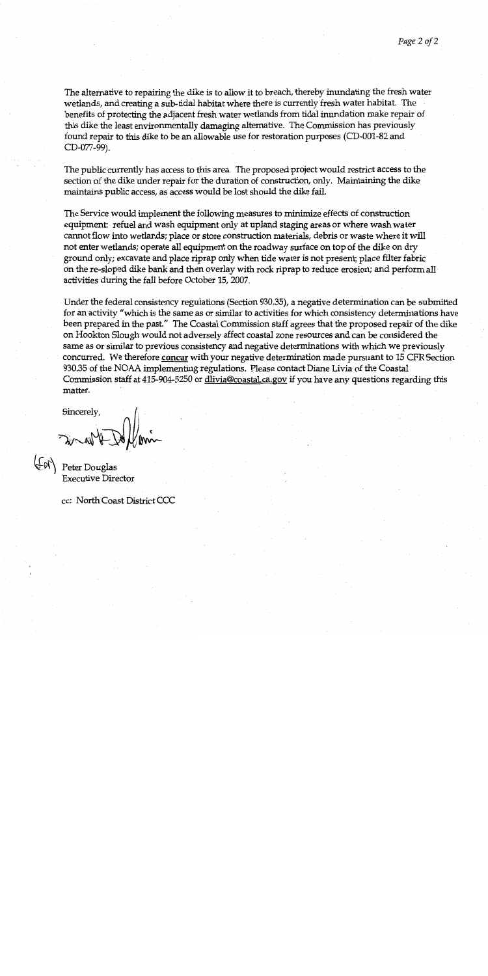The alternative to repairing the dike is to allow it to breach, thereby inundating the fresh water wetlands, and creating a sub-tidal habitat where there is currently fresh water habitat. The benefits of protecting the adjacent fresh water wetlands from tidal inundation make repair of this dike the least environmentally damaging alternative. The Commission has previously found repair to this dike to be an allowable use for restoration purposes (CD-001-82 and CD-077-99).

The public currently has access to this area. The proposed project would restrict access to the section of the dike under repair for the duration of construction, only. Maintaining the dike maintains public access, as access would be lost should the dike fail.

The Service would implement the following measures to minimize effects of construction equipment: refuel and wash equipment only at upland staging areas or where wash water cannot flow into wetlands; place or store construction materials, debris or waste where it will not enter wetlands; operate all equipment on the roadway surface on top of the dike on dry ground only; excavate and place riprap only when tide water is not present; place filter fabric on the re-sloped dike bank and then overlay with rock riprap to reduce erosion; and perform all activities during the fall before October 15, 2007.

Under the federal consistency regulations (Section 930.35), a negative determination can be submitted for an activity "which is the same as or similar to activities for which consistency determinations have been prepared in the past." The Coastal Commission staff agrees that the proposed repair of the dike on Hookton Slough would not adversely affect coastal zone resources and can be considered the same as or similar to previous consistency and negative determinations with which we previously concurred. We therefore concur with your negative determination made pursuant to 15 CFR Section 930.35 of the NOAA implementing regulations. Please contact Diane Livia of the Coastal Commission staff at 415-904-5250 or dlivia@coastal.ca.gov if you have any questions regarding this matter.

Sincerely,

Water

Peter Douglas **Executive Director** 

cc: North Coast District CCC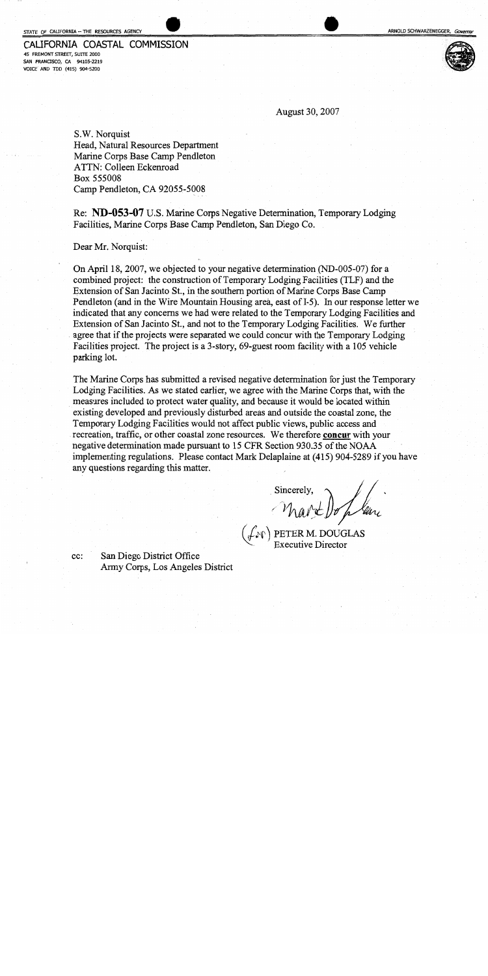# CALIFORNIA COASTAL COMMISSION

45 FREMONT STREET, SUITE 2000 SAN FRANCISCO, CA 94105-2219 VOICE AND TDD (415) 904-5200



August 30, 2007

S.W. Norquist Head, Natural Resources Department Marine Corps Base Camp Pendleton ATTN: Colleen Eckenroad Box 555008 Camp Pendleton, CA 92055-5008

Re: ND-053-07 U.S. Marine Corps Negative Determination, Temporary Lodging Facilities, Marine Corps Base Camp Pendleton, San Diego Co.

Dear Mr. Norquist:

On April 18, 2007, we objected to your negative determination (ND-005-07) for a combined project: the construction of Temporary Lodging Facilities (TLF) and the Extension of San Jacinto St., in the southern portion of Marine Corps Base Camp Pendleton (and in the Wire Mountain Housing area, east of I-5). In our response letter we indicated that any concerns we had were related to the Temporary Lodging Facilities and Extension of San Jacinto St., and not to the Temporary Lodging Facilities. We further agree that if the projects were separated we could concur with the Temporary Lodging Facilities project. The project is a 3-story, 69-guest room facility with a 105 vehicle parking lot.

The Marine Corps has submitted a revised negative determination for just the Temporary Lodging Facilities. As we stated earlier, we agree with the Marine Corps that, with the measures included to protect water quality, and because it would be located within existing developed and previously disturbed areas and outside the coastal zone, the Temporary Lodging Facilities would not affect public views, public access and recreation, traffic, or other coastal zone resources. We therefore concur with your negative determination made pursuant to 15 CFR Section 930.35 of the NOAA implementing regulations. Please contact Mark Delaplaine at (415) 904-5289 if you have any questions regarding this matter.

Mart Doplan

 $\left(\text{Lip} \atop \text{Execute} \right)$  PETER M. DOUGLAS

San Diego District Office Army Corps, Los Angeles District

 $cc$ :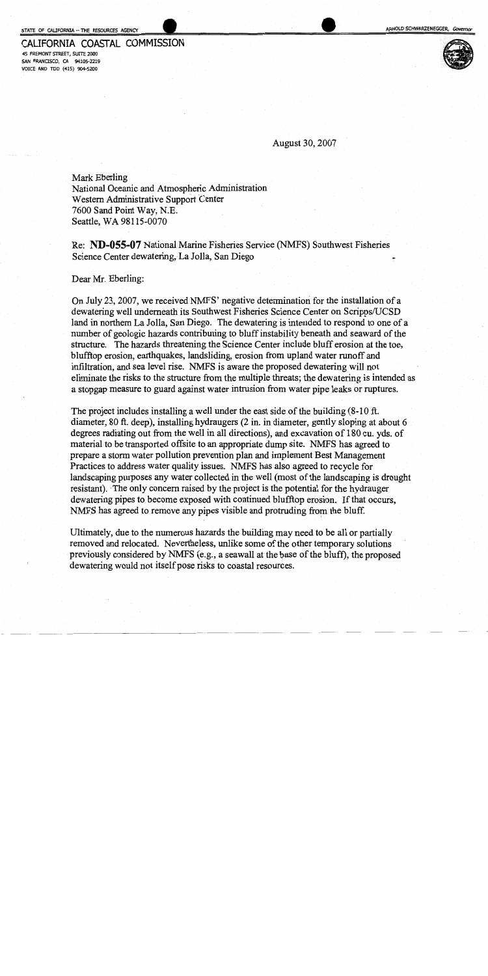# CALIFORNIA COASTAL COMMISSION

45 FREMONT STREET, SUITE 2000 SAN FRANCISCO, CA 94105-2219 VOICE AND TDD (415) 904-5200



August 30, 2007

Mark Eberling National Oceanic and Atmospheric Administration Western Administrative Support Center 7600 Sand Point Way, N.E. Seattle, WA 98115-0070

Re: ND-055-07 National Marine Fisheries Service (NMFS) Southwest Fisheries Science Center dewatering, La Jolla, San Diego

Dear Mr. Eberling:

On July 23, 2007, we received NMFS' negative determination for the installation of a dewatering well underneath its Southwest Fisheries Science Center on Scripps/UCSD land in northern La Jolla, San Diego. The dewatering is intended to respond to one of a number of geologic hazards contributing to bluff instability beneath and seaward of the structure. The hazards threatening the Science Center include bluff erosion at the toe. blufftop erosion, earthquakes, landsliding, erosion from upland water runoff and infiltration, and sea level rise. NMFS is aware the proposed dewatering will not eliminate the risks to the structure from the multiple threats; the dewatering is intended as a stopgap measure to guard against water intrusion from water pipe leaks or ruptures.

The project includes installing a well under the east side of the building  $(8-10 \text{ ft.})$ diameter, 80 ft. deep), installing hydraugers (2 in. in diameter, gently sloping at about 6 degrees radiating out from the well in all directions), and excavation of 180 cu. yds. of material to be transported offsite to an appropriate dump site. NMFS has agreed to prepare a storm water pollution prevention plan and implement Best Management Practices to address water quality issues. NMFS has also agreed to recycle for landscaping purposes any water collected in the well (most of the landscaping is drought resistant). The only concern raised by the project is the potential for the hydrauger dewatering pipes to become exposed with continued blufftop erosion. If that occurs, NMFS has agreed to remove any pipes visible and protruding from the bluff.

Ultimately, due to the numerous hazards the building may need to be all or partially removed and relocated. Nevertheless, unlike some of the other temporary solutions previously considered by NMFS (e.g., a seawall at the base of the bluff), the proposed dewatering would not itself pose risks to coastal resources.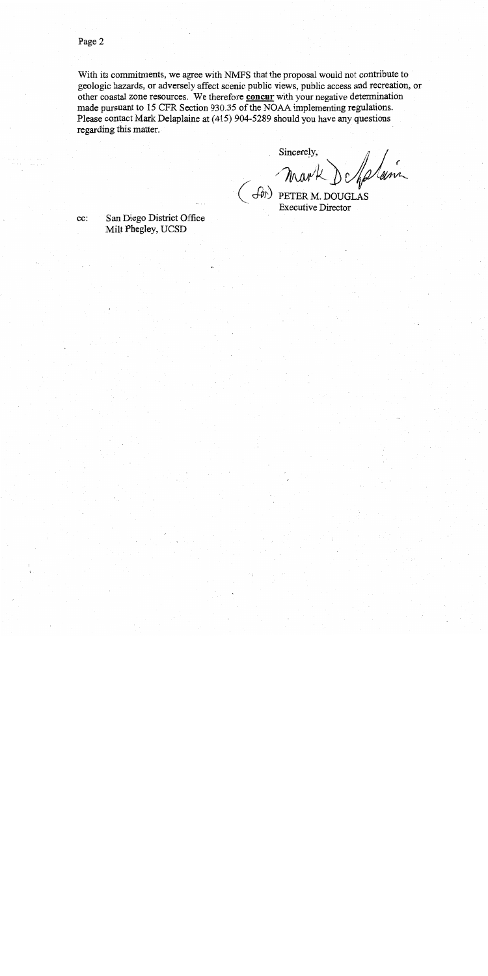With its commitments, we agree with NMFS that the proposal would not contribute to geologic hazards, or adversely affect scenic public views, public access and recreation, or other coastal zone resources. We therefore concur with your negative determination made pursuant to 15 CFR Section 930.35 of the NOAA implementing regulations. Please contact Mark Delaplaine at (415) 904-5289 should you have any questions regarding this matter.

Sincerely,

(SON) PETER M. DOUGLAS

San Diego District Office cc: Milt Phegley, UCSD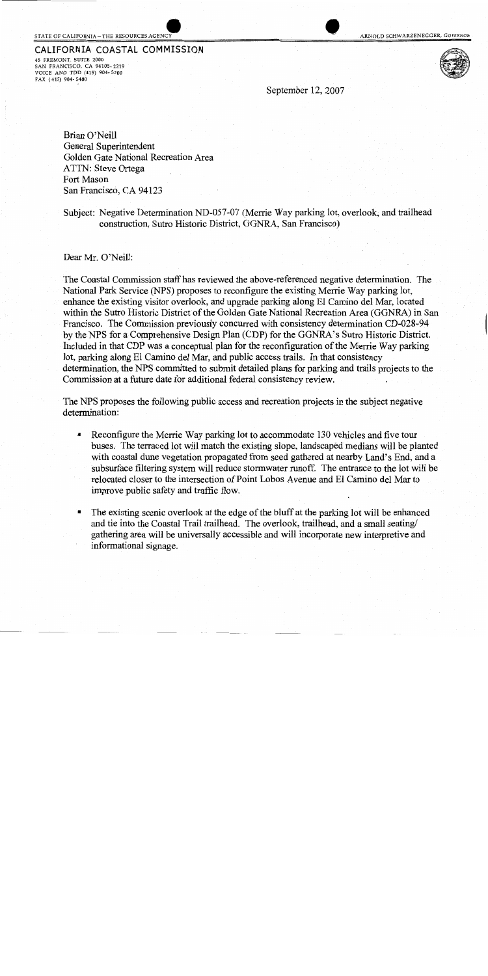#### STATE OF CALIFORNIA-THE RESOURCES AGENC

CALIFORNIA COASTAL COMMISSION 45 FREMONT, SUITE 2000

SAN FRANCISCO, CA 94105-2219<br>VOICE AND TDD (415) 904-5200 FAX (415) 904-5400

September 12, 2007

Brian O'Neill General Superintendent Golden Gate National Recreation Area ATTN: Steve Ortega Fort Mason San Francisco, CA 94123

Subject: Negative Determination ND-057-07 (Merrie Way parking lot, overlook, and trailhead construction, Sutro Historic District, GGNRA, San Francisco)

Dear Mr. O'Neill:

The Coastal Commission staff has reviewed the above-referenced negative determination. The National Park Service (NPS) proposes to reconfigure the existing Merrie Way parking lot, enhance the existing visitor overlook, and upgrade parking along El Camino del Mar, located within the Sutro Historic District of the Golden Gate National Recreation Area (GGNRA) in San Francisco. The Commission previously concurred with consistency determination CD-028-94 by the NPS for a Comprehensive Design Plan (CDP) for the GGNRA's Sutro Historic District. Included in that CDP was a conceptual plan for the reconfiguration of the Merrie Way parking lot, parking along El Camino del Mar, and public access trails. In that consistency determination, the NPS committed to submit detailed plans for parking and trails projects to the Commission at a future date for additional federal consistency review.

The NPS proposes the following public access and recreation projects in the subject negative determination:

- $\blacksquare$ Reconfigure the Merrie Way parking lot to accommodate 130 vehicles and five tour buses. The terraced lot will match the existing slope, landscaped medians will be planted with coastal dune vegetation propagated from seed gathered at nearby Land's End, and a subsurface filtering system will reduce stormwater runoff. The entrance to the lot will be relocated closer to the intersection of Point Lobos Avenue and El Camino del Mar to improve public safety and traffic flow.
- The existing scenic overlook at the edge of the bluff at the parking lot will be enhanced and tie into the Coastal Trail trailhead. The overlook, trailhead, and a small seating/ gathering area will be universally accessible and will incorporate new interpretive and informational signage.